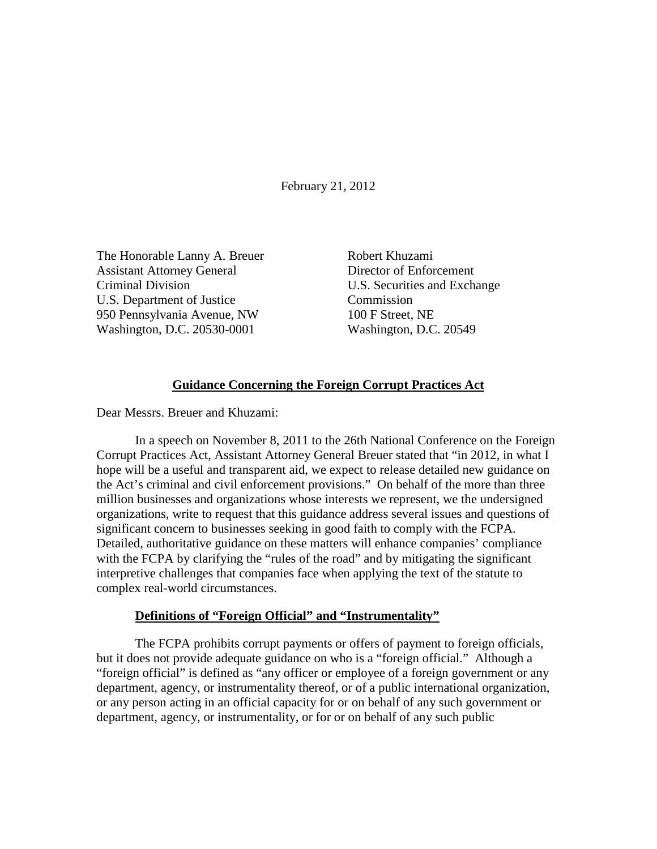February 21, 2012

The Honorable Lanny A. Breuer Assistant Attorney General Criminal Division U.S. Department of Justice 950 Pennsylvania Avenue, NW Washington, D.C. 20530-0001

Robert Khuzami Director of Enforcement U.S. Securities and Exchange Commission 100 F Street, NE Washington, D.C. 20549

## **Guidance Concerning the Foreign Corrupt Practices Act**

Dear Messrs. Breuer and Khuzami:

In a speech on November 8, 2011 to the 26th National Conference on the Foreign Corrupt Practices Act, Assistant Attorney General Breuer stated that "in 2012, in what I hope will be a useful and transparent aid, we expect to release detailed new guidance on the Act's criminal and civil enforcement provisions." On behalf of the more than three million businesses and organizations whose interests we represent, we the undersigned organizations, write to request that this guidance address several issues and questions of significant concern to businesses seeking in good faith to comply with the FCPA. Detailed, authoritative guidance on these matters will enhance companies' compliance with the FCPA by clarifying the "rules of the road" and by mitigating the significant interpretive challenges that companies face when applying the text of the statute to complex real-world circumstances.

### **Definitions of "Foreign Official" and "Instrumentality"**

The FCPA prohibits corrupt payments or offers of payment to foreign officials, but it does not provide adequate guidance on who is a "foreign official." Although a "foreign official" is defined as "any officer or employee of a foreign government or any department, agency, or instrumentality thereof, or of a public international organization, or any person acting in an official capacity for or on behalf of any such government or department, agency, or instrumentality, or for or on behalf of any such public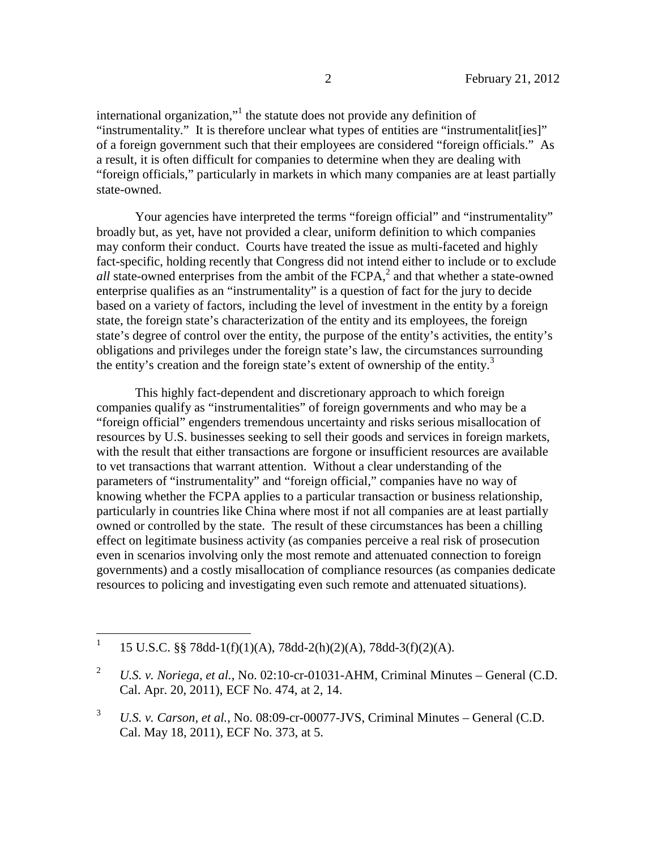international organization," the statute does not provide any definition of "instrumentality." It is therefore unclear what types of entities are "instrumentalites]" of a foreign government such that their employees are considered "foreign officials." As a result, it is often difficult for companies to determine when they are dealing with "foreign officials," particularly in markets in which many companies are at least partially state-owned.

Your agencies have interpreted the terms "foreign official" and "instrumentality" broadly but, as yet, have not provided a clear, uniform definition to which companies may conform their conduct. Courts have treated the issue as multi-faceted and highly fact-specific, holding recently that Congress did not intend either to include or to exclude all state-owned enterprises from the ambit of the FCPA,<sup>[2](#page-1-1)</sup> and that whether a state-owned enterprise qualifies as an "instrumentality" is a question of fact for the jury to decide based on a variety of factors, including the level of investment in the entity by a foreign state, the foreign state's characterization of the entity and its employees, the foreign state's degree of control over the entity, the purpose of the entity's activities, the entity's obligations and privileges under the foreign state's law, the circumstances surrounding the entity's creation and the foreign state's extent of ownership of the entity.<sup>[3](#page-1-2)</sup>

This highly fact-dependent and discretionary approach to which foreign companies qualify as "instrumentalities" of foreign governments and who may be a "foreign official" engenders tremendous uncertainty and risks serious misallocation of resources by U.S. businesses seeking to sell their goods and services in foreign markets, with the result that either transactions are forgone or insufficient resources are available to vet transactions that warrant attention. Without a clear understanding of the parameters of "instrumentality" and "foreign official," companies have no way of knowing whether the FCPA applies to a particular transaction or business relationship, particularly in countries like China where most if not all companies are at least partially owned or controlled by the state. The result of these circumstances has been a chilling effect on legitimate business activity (as companies perceive a real risk of prosecution even in scenarios involving only the most remote and attenuated connection to foreign governments) and a costly misallocation of compliance resources (as companies dedicate resources to policing and investigating even such remote and attenuated situations).

<span id="page-1-0"></span><sup>1</sup> 15 U.S.C. §§ 78dd-1(f)(1)(A), 78dd-2(h)(2)(A), 78dd-3(f)(2)(A).

<span id="page-1-1"></span><sup>2</sup> *U.S. v. Noriega, et al.*, No. 02:10-cr-01031-AHM, Criminal Minutes – General (C.D. Cal. Apr. 20, 2011), ECF No. 474, at 2, 14.

<span id="page-1-2"></span><sup>3</sup> *U.S. v. Carson, et al.*, No. 08:09-cr-00077-JVS, Criminal Minutes – General (C.D. Cal. May 18, 2011), ECF No. 373, at 5.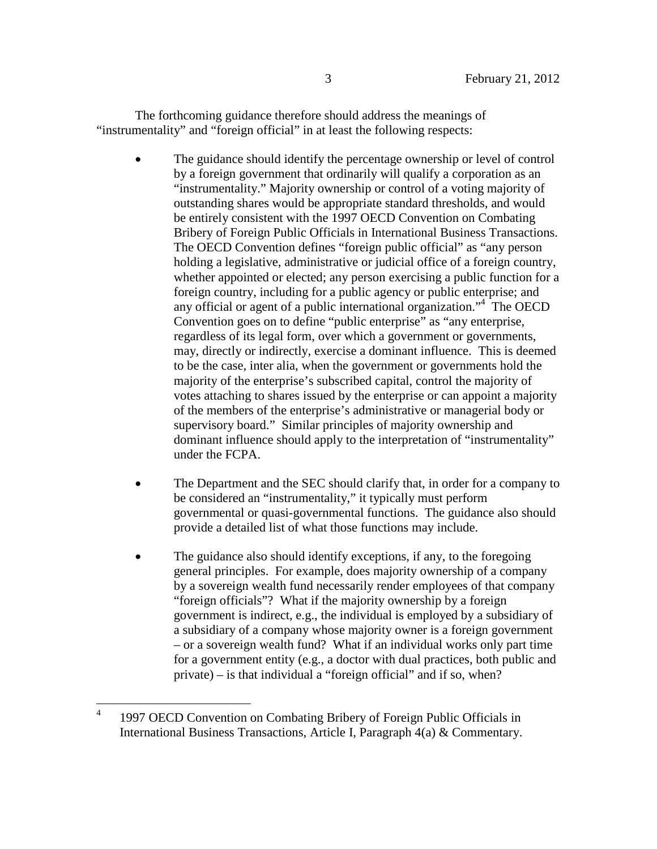The forthcoming guidance therefore should address the meanings of "instrumentality" and "foreign official" in at least the following respects:

- The guidance should identify the percentage ownership or level of control by a foreign government that ordinarily will qualify a corporation as an "instrumentality." Majority ownership or control of a voting majority of outstanding shares would be appropriate standard thresholds, and would be entirely consistent with the 1997 OECD Convention on Combating Bribery of Foreign Public Officials in International Business Transactions. The OECD Convention defines "foreign public official" as "any person holding a legislative, administrative or judicial office of a foreign country, whether appointed or elected; any person exercising a public function for a foreign country, including for a public agency or public enterprise; and any official or agent of a public international organization."[4](#page-2-0) The OECD Convention goes on to define "public enterprise" as "any enterprise, regardless of its legal form, over which a government or governments, may, directly or indirectly, exercise a dominant influence. This is deemed to be the case, inter alia, when the government or governments hold the majority of the enterprise's subscribed capital, control the majority of votes attaching to shares issued by the enterprise or can appoint a majority of the members of the enterprise's administrative or managerial body or supervisory board." Similar principles of majority ownership and dominant influence should apply to the interpretation of "instrumentality" under the FCPA.
- The Department and the SEC should clarify that, in order for a company to be considered an "instrumentality," it typically must perform governmental or quasi-governmental functions. The guidance also should provide a detailed list of what those functions may include.
- The guidance also should identify exceptions, if any, to the foregoing general principles. For example, does majority ownership of a company by a sovereign wealth fund necessarily render employees of that company "foreign officials"? What if the majority ownership by a foreign government is indirect, e.g., the individual is employed by a subsidiary of a subsidiary of a company whose majority owner is a foreign government – or a sovereign wealth fund? What if an individual works only part time for a government entity (e.g., a doctor with dual practices, both public and private) – is that individual a "foreign official" and if so, when?

<span id="page-2-0"></span><sup>4</sup> 1997 OECD Convention on Combating Bribery of Foreign Public Officials in International Business Transactions, Article I, Paragraph 4(a) & Commentary.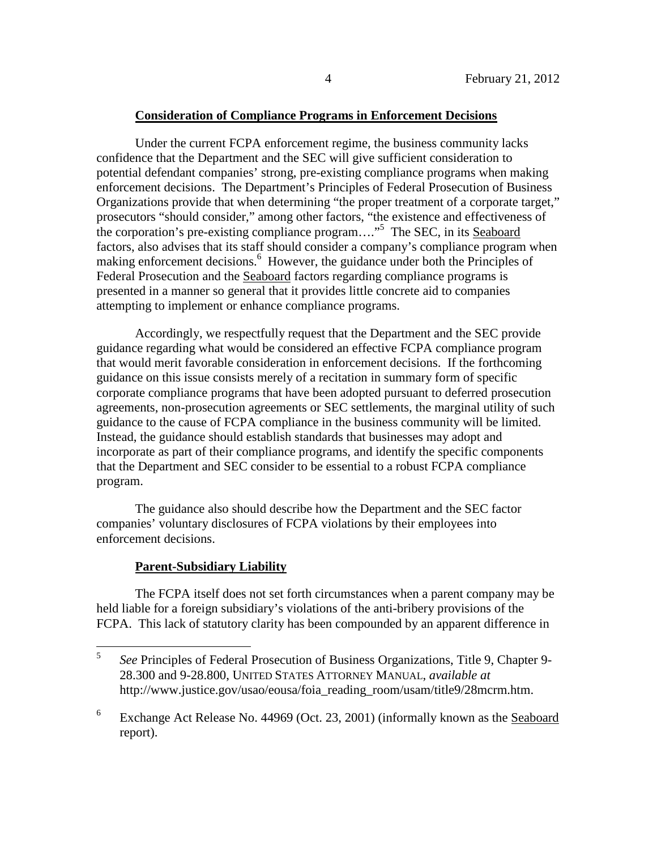## **Consideration of Compliance Programs in Enforcement Decisions**

Under the current FCPA enforcement regime, the business community lacks confidence that the Department and the SEC will give sufficient consideration to potential defendant companies' strong, pre-existing compliance programs when making enforcement decisions. The Department's Principles of Federal Prosecution of Business Organizations provide that when determining "the proper treatment of a corporate target," prosecutors "should consider," among other factors, "the existence and effectiveness of the corporation's pre-existing compliance program...."<sup>[5](#page-3-0)</sup> The SEC, in its **Seaboard** factors, also advises that its staff should consider a company's compliance program when making enforcement decisions.<sup>[6](#page-3-1)</sup> However, the guidance under both the Principles of Federal Prosecution and the Seaboard factors regarding compliance programs is presented in a manner so general that it provides little concrete aid to companies attempting to implement or enhance compliance programs.

Accordingly, we respectfully request that the Department and the SEC provide guidance regarding what would be considered an effective FCPA compliance program that would merit favorable consideration in enforcement decisions. If the forthcoming guidance on this issue consists merely of a recitation in summary form of specific corporate compliance programs that have been adopted pursuant to deferred prosecution agreements, non-prosecution agreements or SEC settlements, the marginal utility of such guidance to the cause of FCPA compliance in the business community will be limited. Instead, the guidance should establish standards that businesses may adopt and incorporate as part of their compliance programs, and identify the specific components that the Department and SEC consider to be essential to a robust FCPA compliance program.

The guidance also should describe how the Department and the SEC factor companies' voluntary disclosures of FCPA violations by their employees into enforcement decisions.

# **Parent-Subsidiary Liability**

The FCPA itself does not set forth circumstances when a parent company may be held liable for a foreign subsidiary's violations of the anti-bribery provisions of the FCPA. This lack of statutory clarity has been compounded by an apparent difference in

<span id="page-3-0"></span><sup>5</sup> *See* Principles of Federal Prosecution of Business Organizations, Title 9, Chapter 9- 28.300 and 9-28.800, UNITED STATES ATTORNEY MANUAL, *available at* http://www.justice.gov/usao/eousa/foia\_reading\_room/usam/title9/28mcrm.htm.

<span id="page-3-1"></span><sup>6</sup> Exchange Act Release No. 44969 (Oct. 23, 2001) (informally known as the Seaboard report).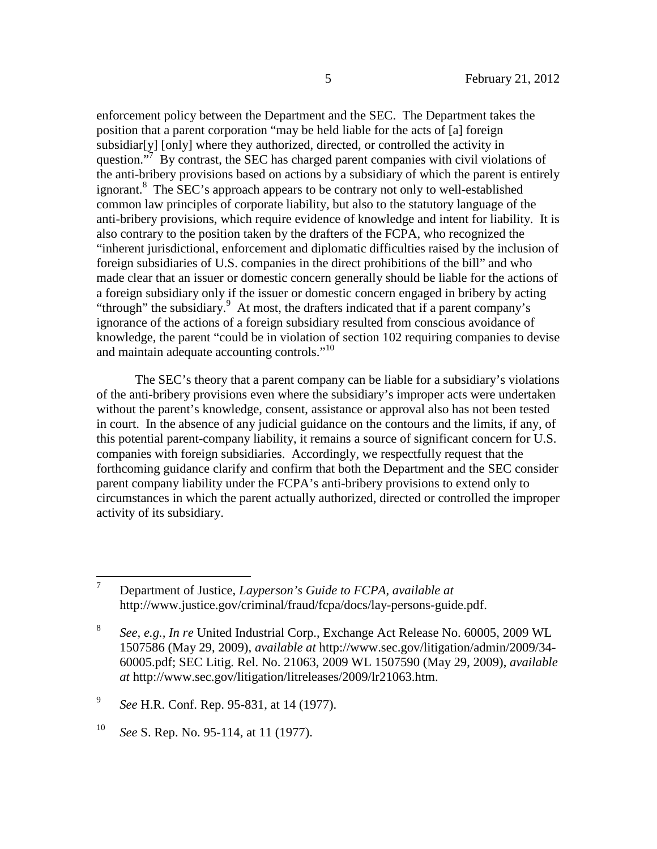enforcement policy between the Department and the SEC. The Department takes the position that a parent corporation "may be held liable for the acts of [a] foreign subsidiar[y] [only] where they authorized, directed, or controlled the activity in question."<sup>[7](#page-4-0)</sup> By contrast, the SEC has charged parent companies with civil violations of the anti-bribery provisions based on actions by a subsidiary of which the parent is entirely ignorant.<sup>[8](#page-4-1)</sup> The SEC's approach appears to be contrary not only to well-established common law principles of corporate liability, but also to the statutory language of the anti-bribery provisions, which require evidence of knowledge and intent for liability. It is also contrary to the position taken by the drafters of the FCPA, who recognized the "inherent jurisdictional, enforcement and diplomatic difficulties raised by the inclusion of foreign subsidiaries of U.S. companies in the direct prohibitions of the bill" and who made clear that an issuer or domestic concern generally should be liable for the actions of a foreign subsidiary only if the issuer or domestic concern engaged in bribery by acting "through" the subsidiary. $\frac{9}{5}$  $\frac{9}{5}$  $\frac{9}{5}$  At most, the drafters indicated that if a parent company's ignorance of the actions of a foreign subsidiary resulted from conscious avoidance of knowledge, the parent "could be in violation of section 102 requiring companies to devise and maintain adequate accounting controls."[10](#page-4-3)

The SEC's theory that a parent company can be liable for a subsidiary's violations of the anti-bribery provisions even where the subsidiary's improper acts were undertaken without the parent's knowledge, consent, assistance or approval also has not been tested in court. In the absence of any judicial guidance on the contours and the limits, if any, of this potential parent-company liability, it remains a source of significant concern for U.S. companies with foreign subsidiaries. Accordingly, we respectfully request that the forthcoming guidance clarify and confirm that both the Department and the SEC consider parent company liability under the FCPA's anti-bribery provisions to extend only to circumstances in which the parent actually authorized, directed or controlled the improper activity of its subsidiary.

<span id="page-4-0"></span><sup>7</sup> Department of Justice, *Layperson's Guide to FCPA*, *available at* http://www.justice.gov/criminal/fraud/fcpa/docs/lay-persons-guide.pdf.

<span id="page-4-1"></span><sup>8</sup> *See, e.g., In re* United Industrial Corp., Exchange Act Release No. 60005, 2009 WL 1507586 (May 29, 2009), *available at* http://www.sec.gov/litigation/admin/2009/34- 60005.pdf; SEC Litig. Rel. No. 21063, 2009 WL 1507590 (May 29, 2009), *available at* http://www.sec.gov/litigation/litreleases/2009/lr21063.htm.

<span id="page-4-2"></span><sup>9</sup> *See* H.R. Conf. Rep. 95-831, at 14 (1977).

<span id="page-4-3"></span><sup>10</sup> *See* S. Rep. No. 95-114, at 11 (1977).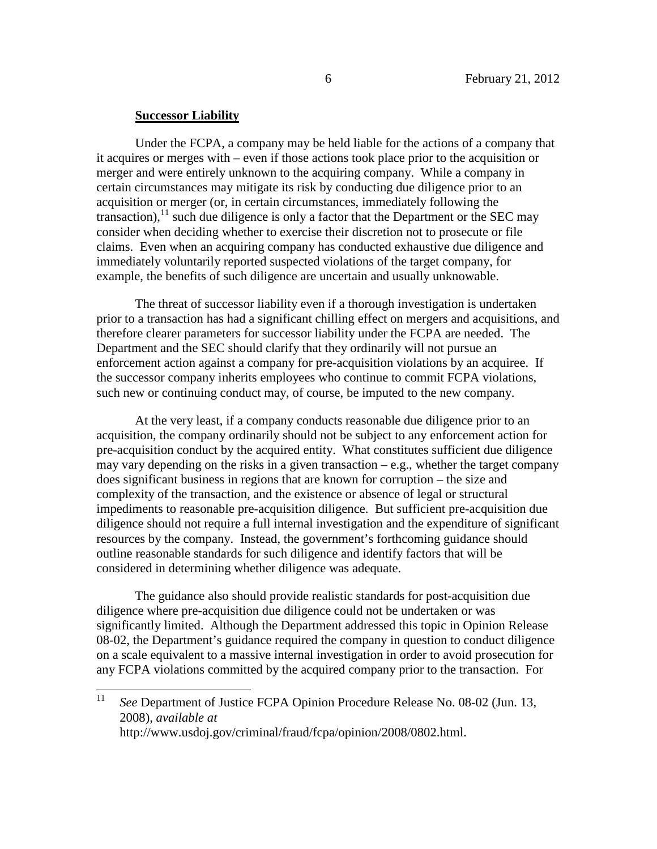#### **Successor Liability**

Under the FCPA, a company may be held liable for the actions of a company that it acquires or merges with – even if those actions took place prior to the acquisition or merger and were entirely unknown to the acquiring company. While a company in certain circumstances may mitigate its risk by conducting due diligence prior to an acquisition or merger (or, in certain circumstances, immediately following the transaction),<sup>[11](#page-5-0)</sup> such due diligence is only a factor that the Department or the SEC may consider when deciding whether to exercise their discretion not to prosecute or file claims. Even when an acquiring company has conducted exhaustive due diligence and immediately voluntarily reported suspected violations of the target company, for example, the benefits of such diligence are uncertain and usually unknowable.

The threat of successor liability even if a thorough investigation is undertaken prior to a transaction has had a significant chilling effect on mergers and acquisitions, and therefore clearer parameters for successor liability under the FCPA are needed. The Department and the SEC should clarify that they ordinarily will not pursue an enforcement action against a company for pre-acquisition violations by an acquiree. If the successor company inherits employees who continue to commit FCPA violations, such new or continuing conduct may, of course, be imputed to the new company.

At the very least, if a company conducts reasonable due diligence prior to an acquisition, the company ordinarily should not be subject to any enforcement action for pre-acquisition conduct by the acquired entity. What constitutes sufficient due diligence may vary depending on the risks in a given transaction – e.g., whether the target company does significant business in regions that are known for corruption – the size and complexity of the transaction, and the existence or absence of legal or structural impediments to reasonable pre-acquisition diligence. But sufficient pre-acquisition due diligence should not require a full internal investigation and the expenditure of significant resources by the company. Instead, the government's forthcoming guidance should outline reasonable standards for such diligence and identify factors that will be considered in determining whether diligence was adequate.

The guidance also should provide realistic standards for post-acquisition due diligence where pre-acquisition due diligence could not be undertaken or was significantly limited. Although the Department addressed this topic in Opinion Release 08-02, the Department's guidance required the company in question to conduct diligence on a scale equivalent to a massive internal investigation in order to avoid prosecution for any FCPA violations committed by the acquired company prior to the transaction. For

<span id="page-5-0"></span><sup>&</sup>lt;sup>11</sup> *See* Department of Justice FCPA Opinion Procedure Release No. 08-02 (Jun. 13, 2008), *available at* http://www.usdoj.gov/criminal/fraud/fcpa/opinion/2008/0802.html.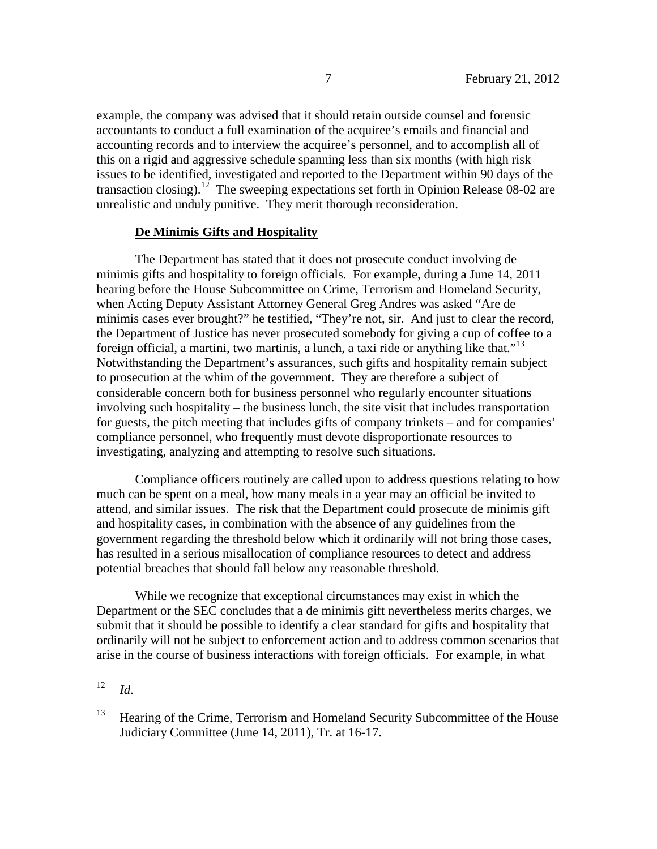example, the company was advised that it should retain outside counsel and forensic accountants to conduct a full examination of the acquiree's emails and financial and accounting records and to interview the acquiree's personnel, and to accomplish all of this on a rigid and aggressive schedule spanning less than six months (with high risk issues to be identified, investigated and reported to the Department within 90 days of the transaction closing).<sup>[12](#page-6-0)</sup> The sweeping expectations set forth in Opinion Release 08-02 are unrealistic and unduly punitive. They merit thorough reconsideration.

### **De Minimis Gifts and Hospitality**

The Department has stated that it does not prosecute conduct involving de minimis gifts and hospitality to foreign officials. For example, during a June 14, 2011 hearing before the House Subcommittee on Crime, Terrorism and Homeland Security, when Acting Deputy Assistant Attorney General Greg Andres was asked "Are de minimis cases ever brought?" he testified, "They're not, sir. And just to clear the record, the Department of Justice has never prosecuted somebody for giving a cup of coffee to a foreign official, a martini, two martinis, a lunch, a taxi ride or anything like that."<sup>[13](#page-6-1)</sup> Notwithstanding the Department's assurances, such gifts and hospitality remain subject to prosecution at the whim of the government. They are therefore a subject of considerable concern both for business personnel who regularly encounter situations involving such hospitality – the business lunch, the site visit that includes transportation for guests, the pitch meeting that includes gifts of company trinkets – and for companies' compliance personnel, who frequently must devote disproportionate resources to investigating, analyzing and attempting to resolve such situations.

Compliance officers routinely are called upon to address questions relating to how much can be spent on a meal, how many meals in a year may an official be invited to attend, and similar issues. The risk that the Department could prosecute de minimis gift and hospitality cases, in combination with the absence of any guidelines from the government regarding the threshold below which it ordinarily will not bring those cases, has resulted in a serious misallocation of compliance resources to detect and address potential breaches that should fall below any reasonable threshold.

While we recognize that exceptional circumstances may exist in which the Department or the SEC concludes that a de minimis gift nevertheless merits charges, we submit that it should be possible to identify a clear standard for gifts and hospitality that ordinarily will not be subject to enforcement action and to address common scenarios that arise in the course of business interactions with foreign officials. For example, in what

<span id="page-6-0"></span> $12$  *Id.* 

<span id="page-6-1"></span><sup>&</sup>lt;sup>13</sup> Hearing of the Crime, Terrorism and Homeland Security Subcommittee of the House Judiciary Committee (June 14, 2011), Tr. at 16-17.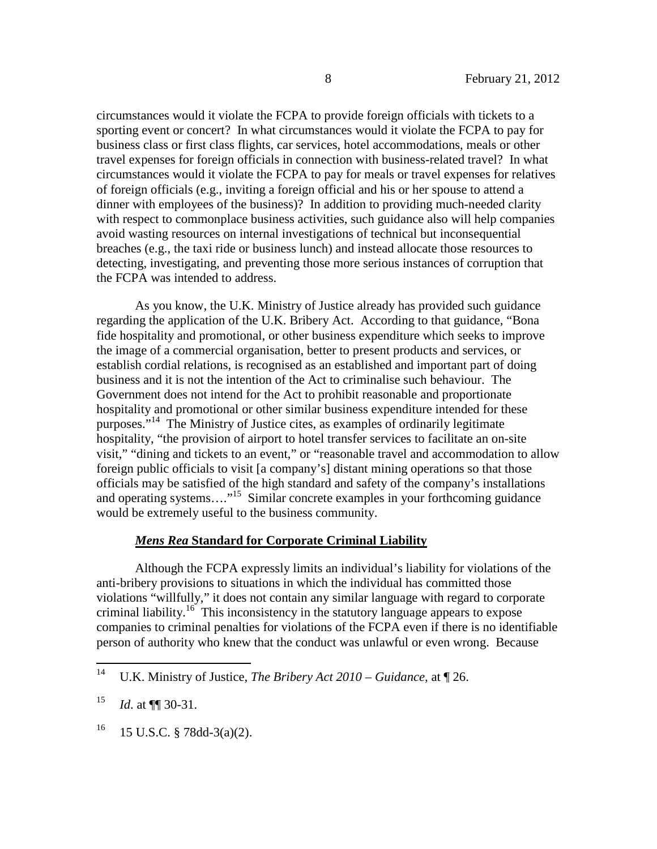circumstances would it violate the FCPA to provide foreign officials with tickets to a sporting event or concert? In what circumstances would it violate the FCPA to pay for business class or first class flights, car services, hotel accommodations, meals or other travel expenses for foreign officials in connection with business-related travel? In what circumstances would it violate the FCPA to pay for meals or travel expenses for relatives of foreign officials (e.g., inviting a foreign official and his or her spouse to attend a dinner with employees of the business)? In addition to providing much-needed clarity with respect to commonplace business activities, such guidance also will help companies avoid wasting resources on internal investigations of technical but inconsequential breaches (e.g., the taxi ride or business lunch) and instead allocate those resources to detecting, investigating, and preventing those more serious instances of corruption that the FCPA was intended to address.

As you know, the U.K. Ministry of Justice already has provided such guidance regarding the application of the U.K. Bribery Act. According to that guidance, "Bona fide hospitality and promotional, or other business expenditure which seeks to improve the image of a commercial organisation, better to present products and services, or establish cordial relations, is recognised as an established and important part of doing business and it is not the intention of the Act to criminalise such behaviour. The Government does not intend for the Act to prohibit reasonable and proportionate hospitality and promotional or other similar business expenditure intended for these purposes."[14](#page-7-0) The Ministry of Justice cites, as examples of ordinarily legitimate hospitality, "the provision of airport to hotel transfer services to facilitate an on-site visit," "dining and tickets to an event," or "reasonable travel and accommodation to allow foreign public officials to visit [a company's] distant mining operations so that those officials may be satisfied of the high standard and safety of the company's installations and operating systems...."<sup>[15](#page-7-1)</sup> Similar concrete examples in your forthcoming guidance would be extremely useful to the business community.

### *Mens Rea* **Standard for Corporate Criminal Liability**

Although the FCPA expressly limits an individual's liability for violations of the anti-bribery provisions to situations in which the individual has committed those violations "willfully," it does not contain any similar language with regard to corporate criminal liability.<sup>[16](#page-7-2)</sup> This inconsistency in the statutory language appears to expose companies to criminal penalties for violations of the FCPA even if there is no identifiable person of authority who knew that the conduct was unlawful or even wrong. Because

<span id="page-7-2"></span> $16$  15 U.S.C. § 78dd-3(a)(2).

<span id="page-7-0"></span><sup>14</sup> U.K. Ministry of Justice, *The Bribery Act 2010 – Guidance*, at ¶ 26.

<span id="page-7-1"></span><sup>15</sup> *Id*. at ¶¶ 30-31.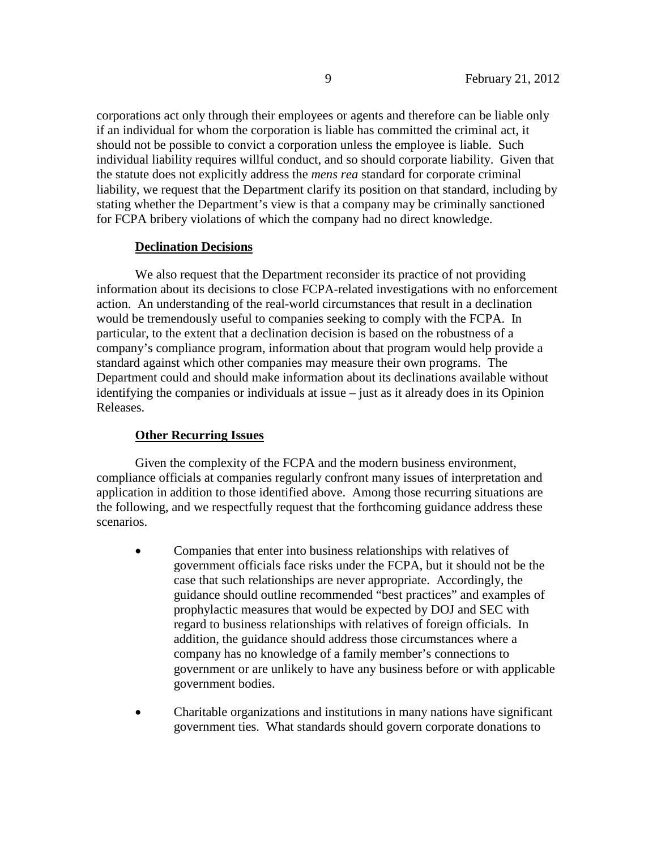corporations act only through their employees or agents and therefore can be liable only if an individual for whom the corporation is liable has committed the criminal act, it should not be possible to convict a corporation unless the employee is liable. Such individual liability requires willful conduct, and so should corporate liability. Given that the statute does not explicitly address the *mens rea* standard for corporate criminal liability, we request that the Department clarify its position on that standard, including by stating whether the Department's view is that a company may be criminally sanctioned for FCPA bribery violations of which the company had no direct knowledge.

### **Declination Decisions**

We also request that the Department reconsider its practice of not providing information about its decisions to close FCPA-related investigations with no enforcement action. An understanding of the real-world circumstances that result in a declination would be tremendously useful to companies seeking to comply with the FCPA. In particular, to the extent that a declination decision is based on the robustness of a company's compliance program, information about that program would help provide a standard against which other companies may measure their own programs. The Department could and should make information about its declinations available without identifying the companies or individuals at issue – just as it already does in its Opinion Releases.

### **Other Recurring Issues**

Given the complexity of the FCPA and the modern business environment, compliance officials at companies regularly confront many issues of interpretation and application in addition to those identified above. Among those recurring situations are the following, and we respectfully request that the forthcoming guidance address these scenarios.

- Companies that enter into business relationships with relatives of government officials face risks under the FCPA, but it should not be the case that such relationships are never appropriate. Accordingly, the guidance should outline recommended "best practices" and examples of prophylactic measures that would be expected by DOJ and SEC with regard to business relationships with relatives of foreign officials. In addition, the guidance should address those circumstances where a company has no knowledge of a family member's connections to government or are unlikely to have any business before or with applicable government bodies.
- Charitable organizations and institutions in many nations have significant government ties. What standards should govern corporate donations to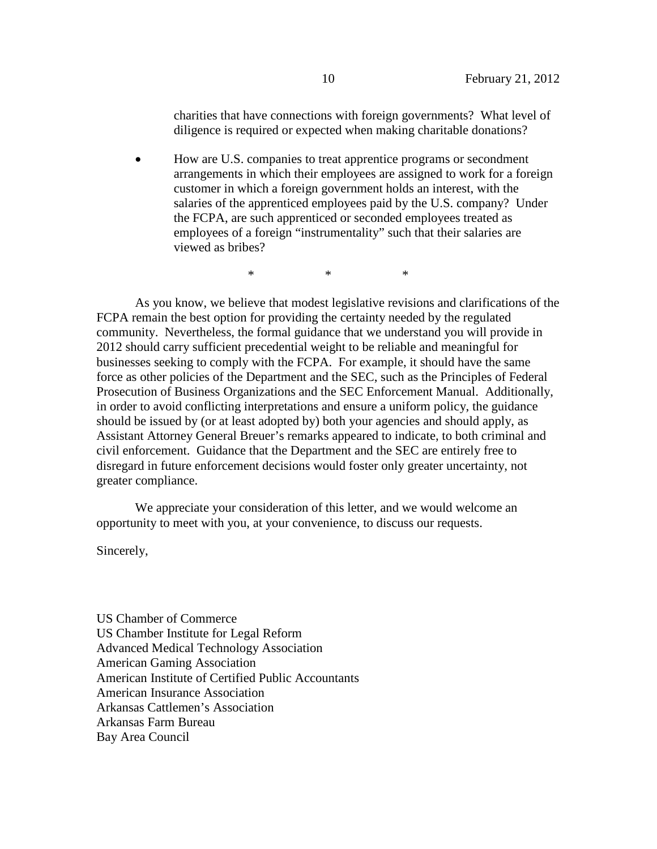charities that have connections with foreign governments? What level of diligence is required or expected when making charitable donations?

 How are U.S. companies to treat apprentice programs or secondment arrangements in which their employees are assigned to work for a foreign customer in which a foreign government holds an interest, with the salaries of the apprenticed employees paid by the U.S. company? Under the FCPA, are such apprenticed or seconded employees treated as employees of a foreign "instrumentality" such that their salaries are viewed as bribes?

 $*$   $*$   $*$ 

As you know, we believe that modest legislative revisions and clarifications of the FCPA remain the best option for providing the certainty needed by the regulated community. Nevertheless, the formal guidance that we understand you will provide in 2012 should carry sufficient precedential weight to be reliable and meaningful for businesses seeking to comply with the FCPA. For example, it should have the same force as other policies of the Department and the SEC, such as the Principles of Federal Prosecution of Business Organizations and the SEC Enforcement Manual. Additionally, in order to avoid conflicting interpretations and ensure a uniform policy, the guidance should be issued by (or at least adopted by) both your agencies and should apply, as Assistant Attorney General Breuer's remarks appeared to indicate, to both criminal and civil enforcement. Guidance that the Department and the SEC are entirely free to disregard in future enforcement decisions would foster only greater uncertainty, not greater compliance.

We appreciate your consideration of this letter, and we would welcome an opportunity to meet with you, at your convenience, to discuss our requests.

Sincerely,

US Chamber of Commerce US Chamber Institute for Legal Reform Advanced Medical Technology Association American Gaming Association American Institute of Certified Public Accountants American Insurance Association Arkansas Cattlemen's Association Arkansas Farm Bureau Bay Area Council